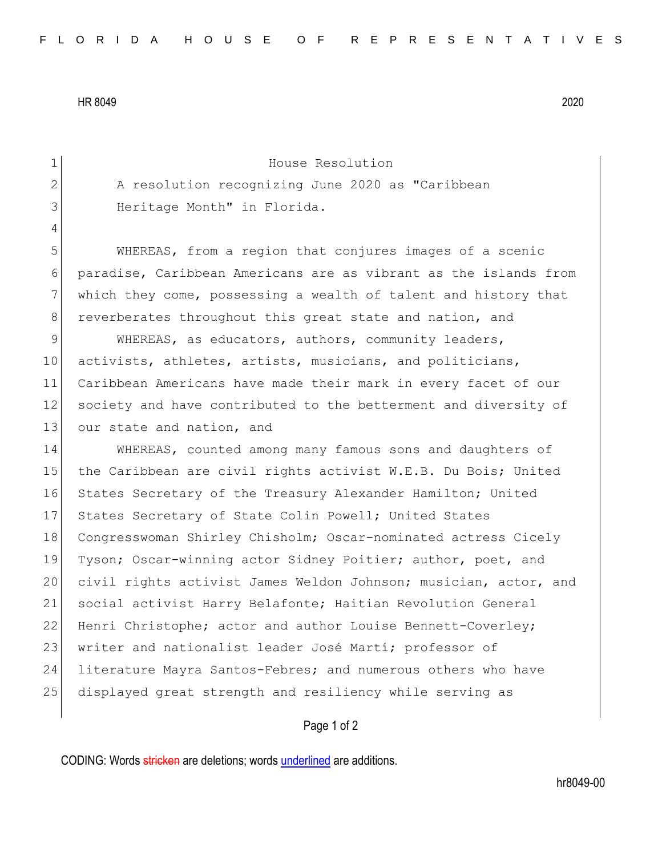HR 8049 2020

1 House Resolution 2 A resolution recognizing June 2020 as "Caribbean 3 Heritage Month" in Florida. 4 5 WHEREAS, from a region that conjures images of a scenic 6 paradise, Caribbean Americans are as vibrant as the islands from 7 which they come, possessing a wealth of talent and history that 8 reverberates throughout this great state and nation, and 9 WHEREAS, as educators, authors, community leaders, 10 activists, athletes, artists, musicians, and politicians, 11 Caribbean Americans have made their mark in every facet of our 12 society and have contributed to the betterment and diversity of 13 our state and nation, and 14 WHEREAS, counted among many famous sons and daughters of 15 the Caribbean are civil rights activist W.E.B. Du Bois; United 16 States Secretary of the Treasury Alexander Hamilton; United 17 States Secretary of State Colin Powell; United States 18 Congresswoman Shirley Chisholm; Oscar-nominated actress Cicely 19 Tyson; Oscar-winning actor Sidney Poitier; author, poet, and 20 civil rights activist James Weldon Johnson; musician, actor, and 21 social activist Harry Belafonte; Haitian Revolution General 22 Henri Christophe; actor and author Louise Bennett-Coverley; 23 writer and nationalist leader José Martí; professor of 24 literature Mayra Santos-Febres; and numerous others who have 25 displayed great strength and resiliency while serving as

Page 1 of 2

CODING: Words stricken are deletions; words underlined are additions.